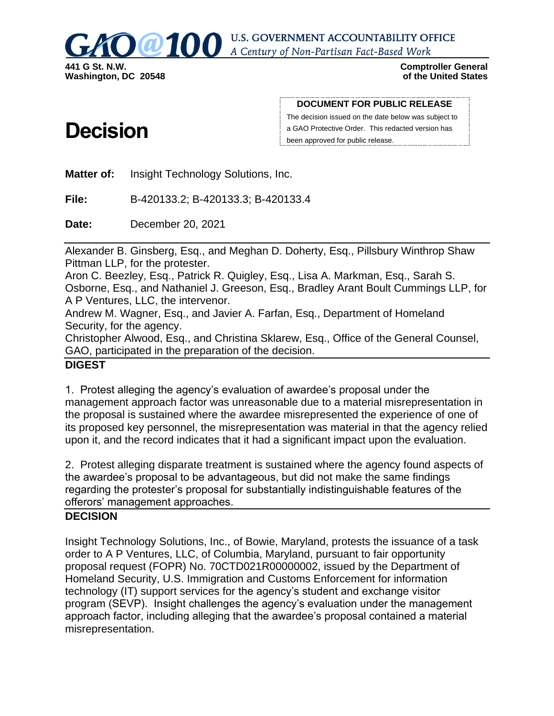

**U.S. GOVERNMENT ACCOUNTABILITY OFFICE** A Century of Non-Partisan Fact-Based Work

> **Comptroller General of the United States**

# **Decision**

**DOCUMENT FOR PUBLIC RELEASE**

The decision issued on the date below was subject to a GAO Protective Order. This redacted version has been approved for public release.

**Matter of:** Insight Technology Solutions, Inc.

**File:** B-420133.2; B-420133.3; B-420133.4

**Date:** December 20, 2021

Alexander B. Ginsberg, Esq., and Meghan D. Doherty, Esq., Pillsbury Winthrop Shaw Pittman LLP, for the protester.

Aron C. Beezley, Esq., Patrick R. Quigley, Esq., Lisa A. Markman, Esq., Sarah S. Osborne, Esq., and Nathaniel J. Greeson, Esq., Bradley Arant Boult Cummings LLP, for A P Ventures, LLC, the intervenor.

Andrew M. Wagner, Esq., and Javier A. Farfan, Esq., Department of Homeland Security, for the agency.

Christopher Alwood, Esq., and Christina Sklarew, Esq., Office of the General Counsel, GAO, participated in the preparation of the decision.

## **DIGEST**

1. Protest alleging the agency's evaluation of awardee's proposal under the management approach factor was unreasonable due to a material misrepresentation in the proposal is sustained where the awardee misrepresented the experience of one of its proposed key personnel, the misrepresentation was material in that the agency relied upon it, and the record indicates that it had a significant impact upon the evaluation.

2. Protest alleging disparate treatment is sustained where the agency found aspects of the awardee's proposal to be advantageous, but did not make the same findings regarding the protester's proposal for substantially indistinguishable features of the offerors' management approaches.

#### **DECISION**

Insight Technology Solutions, Inc., of Bowie, Maryland, protests the issuance of a task order to A P Ventures, LLC, of Columbia, Maryland, pursuant to fair opportunity proposal request (FOPR) No. 70CTD021R00000002, issued by the Department of Homeland Security, U.S. Immigration and Customs Enforcement for information technology (IT) support services for the agency's student and exchange visitor program (SEVP). Insight challenges the agency's evaluation under the management approach factor, including alleging that the awardee's proposal contained a material misrepresentation.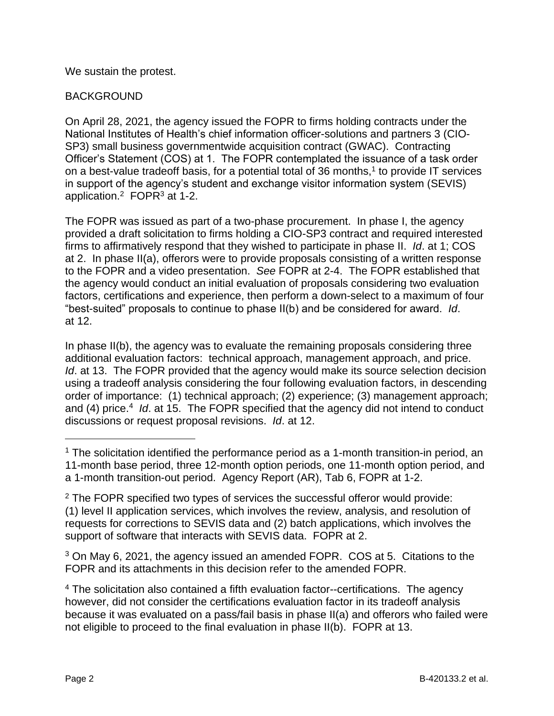We sustain the protest.

## BACKGROUND

On April 28, 2021, the agency issued the FOPR to firms holding contracts under the National Institutes of Health's chief information officer-solutions and partners 3 (CIO-SP3) small business governmentwide acquisition contract (GWAC). Contracting Officer's Statement (COS) at 1. The FOPR contemplated the issuance of a task order on a best-value tradeoff basis, for a potential total of 36 months, $<sup>1</sup>$  to provide IT services</sup> in support of the agency's student and exchange visitor information system (SEVIS) application.<sup>2</sup> FOPR $3$  at 1-2.

The FOPR was issued as part of a two-phase procurement. In phase I, the agency provided a draft solicitation to firms holding a CIO-SP3 contract and required interested firms to affirmatively respond that they wished to participate in phase II. *Id*. at 1; COS at 2. In phase II(a), offerors were to provide proposals consisting of a written response to the FOPR and a video presentation. *See* FOPR at 2-4. The FOPR established that the agency would conduct an initial evaluation of proposals considering two evaluation factors, certifications and experience, then perform a down-select to a maximum of four "best-suited" proposals to continue to phase II(b) and be considered for award. *Id*. at 12.

In phase II(b), the agency was to evaluate the remaining proposals considering three additional evaluation factors: technical approach, management approach, and price. *Id.* at 13. The FOPR provided that the agency would make its source selection decision using a tradeoff analysis considering the four following evaluation factors, in descending order of importance: (1) technical approach; (2) experience; (3) management approach; and (4) price.<sup>4</sup> Id. at 15. The FOPR specified that the agency did not intend to conduct discussions or request proposal revisions. *Id*. at 12.

<sup>3</sup> On May 6, 2021, the agency issued an amended FOPR. COS at 5. Citations to the FOPR and its attachments in this decision refer to the amended FOPR.

 $1$  The solicitation identified the performance period as a 1-month transition-in period, an 11-month base period, three 12-month option periods, one 11-month option period, and a 1-month transition-out period. Agency Report (AR), Tab 6, FOPR at 1-2.

 $2$  The FOPR specified two types of services the successful offeror would provide: (1) level II application services, which involves the review, analysis, and resolution of requests for corrections to SEVIS data and (2) batch applications, which involves the support of software that interacts with SEVIS data. FOPR at 2.

<sup>&</sup>lt;sup>4</sup> The solicitation also contained a fifth evaluation factor--certifications. The agency however, did not consider the certifications evaluation factor in its tradeoff analysis because it was evaluated on a pass/fail basis in phase II(a) and offerors who failed were not eligible to proceed to the final evaluation in phase II(b). FOPR at 13.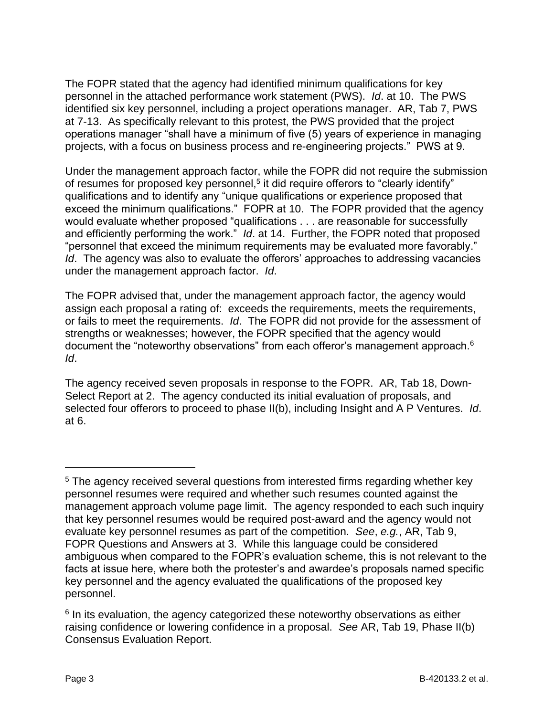The FOPR stated that the agency had identified minimum qualifications for key personnel in the attached performance work statement (PWS). *Id*. at 10. The PWS identified six key personnel, including a project operations manager. AR, Tab 7, PWS at 7-13. As specifically relevant to this protest, the PWS provided that the project operations manager "shall have a minimum of five (5) years of experience in managing projects, with a focus on business process and re-engineering projects." PWS at 9.

Under the management approach factor, while the FOPR did not require the submission of resumes for proposed key personnel,<sup>5</sup> it did require offerors to "clearly identify" qualifications and to identify any "unique qualifications or experience proposed that exceed the minimum qualifications." FOPR at 10. The FOPR provided that the agency would evaluate whether proposed "qualifications . . . are reasonable for successfully and efficiently performing the work." *Id*. at 14. Further, the FOPR noted that proposed "personnel that exceed the minimum requirements may be evaluated more favorably." *Id*. The agency was also to evaluate the offerors' approaches to addressing vacancies under the management approach factor. *Id*.

The FOPR advised that, under the management approach factor, the agency would assign each proposal a rating of: exceeds the requirements, meets the requirements, or fails to meet the requirements. *Id*. The FOPR did not provide for the assessment of strengths or weaknesses; however, the FOPR specified that the agency would document the "noteworthy observations" from each offeror's management approach. $6$ *Id*.

The agency received seven proposals in response to the FOPR. AR, Tab 18, Down-Select Report at 2. The agency conducted its initial evaluation of proposals, and selected four offerors to proceed to phase II(b), including Insight and A P Ventures. *Id*. at 6.

<sup>&</sup>lt;sup>5</sup> The agency received several questions from interested firms regarding whether key personnel resumes were required and whether such resumes counted against the management approach volume page limit. The agency responded to each such inquiry that key personnel resumes would be required post-award and the agency would not evaluate key personnel resumes as part of the competition. *See*, *e.g.*, AR, Tab 9, FOPR Questions and Answers at 3. While this language could be considered ambiguous when compared to the FOPR's evaluation scheme, this is not relevant to the facts at issue here, where both the protester's and awardee's proposals named specific key personnel and the agency evaluated the qualifications of the proposed key personnel.

<sup>&</sup>lt;sup>6</sup> In its evaluation, the agency categorized these noteworthy observations as either raising confidence or lowering confidence in a proposal. *See* AR, Tab 19, Phase II(b) Consensus Evaluation Report.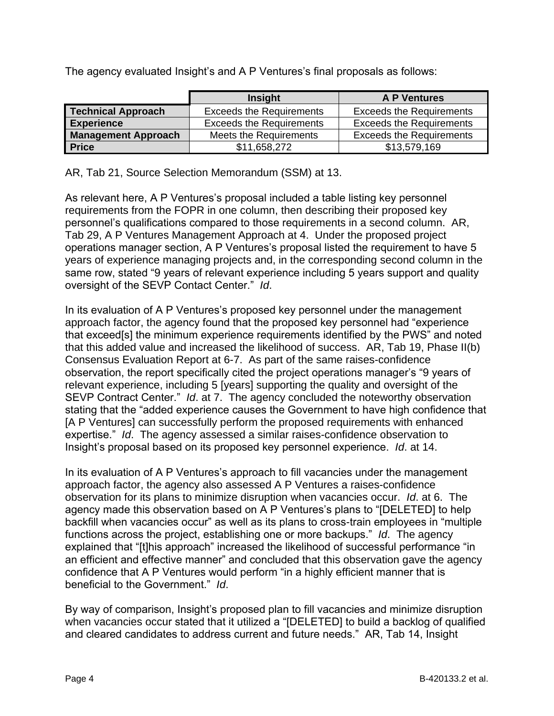The agency evaluated Insight's and A P Ventures's final proposals as follows:

|                            | <b>Insight</b>                  | <b>A P Ventures</b>             |
|----------------------------|---------------------------------|---------------------------------|
| <b>Technical Approach</b>  | <b>Exceeds the Requirements</b> | <b>Exceeds the Requirements</b> |
| <b>Experience</b>          | <b>Exceeds the Requirements</b> | <b>Exceeds the Requirements</b> |
| <b>Management Approach</b> | Meets the Requirements          | <b>Exceeds the Requirements</b> |
| <b>Price</b>               | \$11,658,272                    | \$13,579,169                    |

AR, Tab 21, Source Selection Memorandum (SSM) at 13.

As relevant here, A P Ventures's proposal included a table listing key personnel requirements from the FOPR in one column, then describing their proposed key personnel's qualifications compared to those requirements in a second column. AR, Tab 29, A P Ventures Management Approach at 4. Under the proposed project operations manager section, A P Ventures's proposal listed the requirement to have 5 years of experience managing projects and, in the corresponding second column in the same row, stated "9 years of relevant experience including 5 years support and quality oversight of the SEVP Contact Center." *Id*.

In its evaluation of A P Ventures's proposed key personnel under the management approach factor, the agency found that the proposed key personnel had "experience that exceed[s] the minimum experience requirements identified by the PWS" and noted that this added value and increased the likelihood of success. AR, Tab 19, Phase II(b) Consensus Evaluation Report at 6-7. As part of the same raises-confidence observation, the report specifically cited the project operations manager's "9 years of relevant experience, including 5 [years] supporting the quality and oversight of the SEVP Contract Center." *Id*. at 7. The agency concluded the noteworthy observation stating that the "added experience causes the Government to have high confidence that [A P Ventures] can successfully perform the proposed requirements with enhanced expertise." *Id*. The agency assessed a similar raises-confidence observation to Insight's proposal based on its proposed key personnel experience. *Id*. at 14.

In its evaluation of A P Ventures's approach to fill vacancies under the management approach factor, the agency also assessed A P Ventures a raises-confidence observation for its plans to minimize disruption when vacancies occur. *Id*. at 6. The agency made this observation based on A P Ventures's plans to "[DELETED] to help backfill when vacancies occur" as well as its plans to cross-train employees in "multiple functions across the project, establishing one or more backups." *Id*. The agency explained that "[t]his approach" increased the likelihood of successful performance "in an efficient and effective manner" and concluded that this observation gave the agency confidence that A P Ventures would perform "in a highly efficient manner that is beneficial to the Government." *Id*.

By way of comparison, Insight's proposed plan to fill vacancies and minimize disruption when vacancies occur stated that it utilized a "[DELETED] to build a backlog of qualified and cleared candidates to address current and future needs." AR, Tab 14, Insight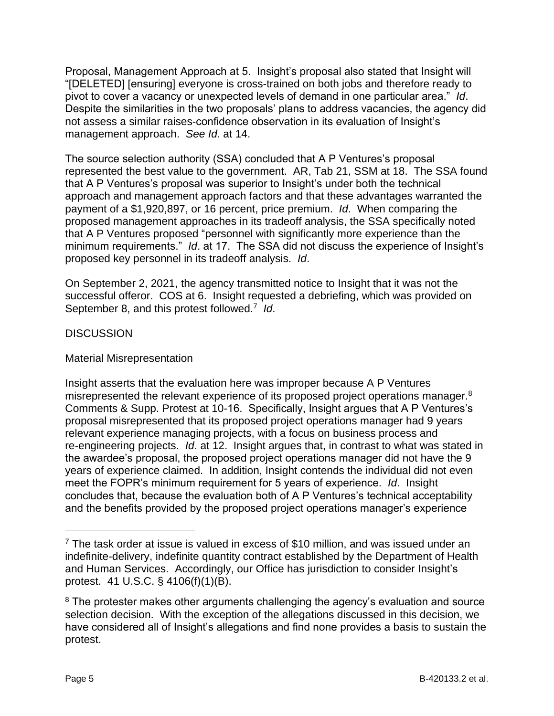Proposal, Management Approach at 5. Insight's proposal also stated that Insight will "[DELETED] [ensuring] everyone is cross-trained on both jobs and therefore ready to pivot to cover a vacancy or unexpected levels of demand in one particular area." *Id*. Despite the similarities in the two proposals' plans to address vacancies, the agency did not assess a similar raises-confidence observation in its evaluation of Insight's management approach. *See Id*. at 14.

The source selection authority (SSA) concluded that A P Ventures's proposal represented the best value to the government. AR, Tab 21, SSM at 18. The SSA found that A P Ventures's proposal was superior to Insight's under both the technical approach and management approach factors and that these advantages warranted the payment of a \$1,920,897, or 16 percent, price premium. *Id*. When comparing the proposed management approaches in its tradeoff analysis, the SSA specifically noted that A P Ventures proposed "personnel with significantly more experience than the minimum requirements." *Id*. at 17. The SSA did not discuss the experience of Insight's proposed key personnel in its tradeoff analysis. *Id*.

On September 2, 2021, the agency transmitted notice to Insight that it was not the successful offeror. COS at 6. Insight requested a debriefing, which was provided on September 8, and this protest followed.<sup>7</sup> Id.

## **DISCUSSION**

### Material Misrepresentation

Insight asserts that the evaluation here was improper because A P Ventures misrepresented the relevant experience of its proposed project operations manager. $8$ Comments & Supp. Protest at 10-16. Specifically, Insight argues that A P Ventures's proposal misrepresented that its proposed project operations manager had 9 years relevant experience managing projects, with a focus on business process and re-engineering projects. *Id*. at 12. Insight argues that, in contrast to what was stated in the awardee's proposal, the proposed project operations manager did not have the 9 years of experience claimed. In addition, Insight contends the individual did not even meet the FOPR's minimum requirement for 5 years of experience. *Id*. Insight concludes that, because the evaluation both of A P Ventures's technical acceptability and the benefits provided by the proposed project operations manager's experience

 $7$  The task order at issue is valued in excess of \$10 million, and was issued under an indefinite-delivery, indefinite quantity contract established by the Department of Health and Human Services. Accordingly, our Office has jurisdiction to consider Insight's protest. 41 U.S.C. § 4106(f)(1)(B).

<sup>&</sup>lt;sup>8</sup> The protester makes other arguments challenging the agency's evaluation and source selection decision. With the exception of the allegations discussed in this decision, we have considered all of Insight's allegations and find none provides a basis to sustain the protest.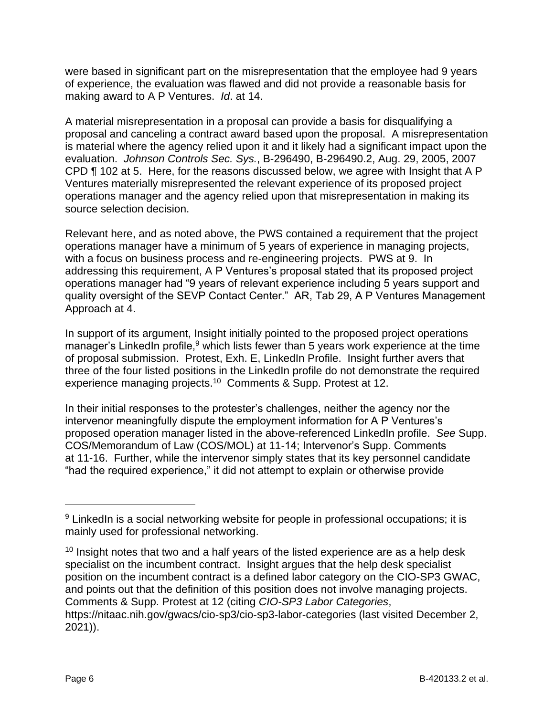were based in significant part on the misrepresentation that the employee had 9 years of experience, the evaluation was flawed and did not provide a reasonable basis for making award to A P Ventures. *Id*. at 14.

A material misrepresentation in a proposal can provide a basis for disqualifying a proposal and canceling a contract award based upon the proposal. A misrepresentation is material where the agency relied upon it and it likely had a significant impact upon the evaluation. *Johnson Controls Sec. Sys.*, B-296490, B-296490.2, Aug. 29, 2005, 2007 CPD ¶ 102 at 5. Here, for the reasons discussed below, we agree with Insight that A P Ventures materially misrepresented the relevant experience of its proposed project operations manager and the agency relied upon that misrepresentation in making its source selection decision.

Relevant here, and as noted above, the PWS contained a requirement that the project operations manager have a minimum of 5 years of experience in managing projects, with a focus on business process and re-engineering projects. PWS at 9. In addressing this requirement, A P Ventures's proposal stated that its proposed project operations manager had "9 years of relevant experience including 5 years support and quality oversight of the SEVP Contact Center." AR, Tab 29, A P Ventures Management Approach at 4.

In support of its argument, Insight initially pointed to the proposed project operations manager's LinkedIn profile,  $9$  which lists fewer than 5 years work experience at the time of proposal submission. Protest, Exh. E, LinkedIn Profile. Insight further avers that three of the four listed positions in the LinkedIn profile do not demonstrate the required experience managing projects.<sup>10</sup> Comments & Supp. Protest at 12.

In their initial responses to the protester's challenges, neither the agency nor the intervenor meaningfully dispute the employment information for A P Ventures's proposed operation manager listed in the above-referenced LinkedIn profile. *See* Supp. COS/Memorandum of Law (COS/MOL) at 11-14; Intervenor's Supp. Comments at 11-16. Further, while the intervenor simply states that its key personnel candidate "had the required experience," it did not attempt to explain or otherwise provide

2021)).

<sup>&</sup>lt;sup>9</sup> LinkedIn is a social networking website for people in professional occupations; it is mainly used for professional networking.

 $10$  Insight notes that two and a half years of the listed experience are as a help desk specialist on the incumbent contract. Insight argues that the help desk specialist position on the incumbent contract is a defined labor category on the CIO-SP3 GWAC, and points out that the definition of this position does not involve managing projects. Comments & Supp. Protest at 12 (citing *CIO-SP3 Labor Categories*, https://nitaac.nih.gov/gwacs/cio-sp3/cio-sp3-labor-categories (last visited December 2,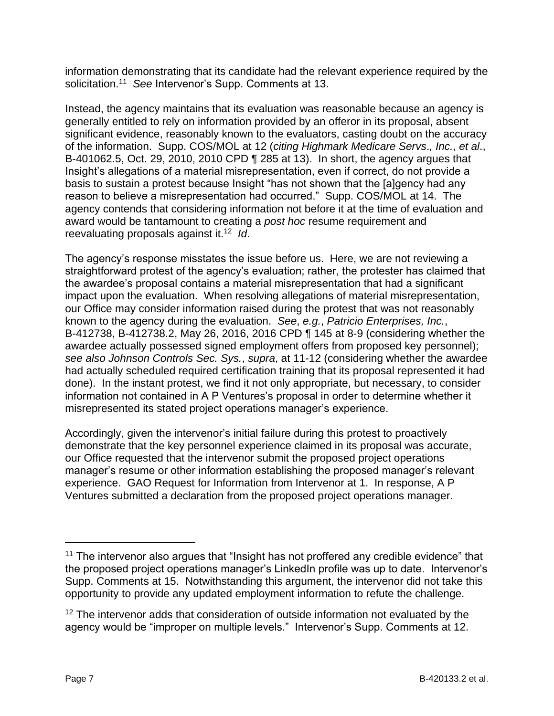information demonstrating that its candidate had the relevant experience required by the solicitation.<sup>11</sup> *See* Intervenor's Supp. Comments at 13.

Instead, the agency maintains that its evaluation was reasonable because an agency is generally entitled to rely on information provided by an offeror in its proposal, absent significant evidence, reasonably known to the evaluators, casting doubt on the accuracy of the information. Supp. COS/MOL at 12 (*citing Highmark Medicare Servs*.*, Inc.*, *et al*., B-401062.5, Oct. 29, 2010, 2010 CPD ¶ 285 at 13). In short, the agency argues that Insight's allegations of a material misrepresentation, even if correct, do not provide a basis to sustain a protest because Insight "has not shown that the [a]gency had any reason to believe a misrepresentation had occurred." Supp. COS/MOL at 14. The agency contends that considering information not before it at the time of evaluation and award would be tantamount to creating a *post hoc* resume requirement and reevaluating proposals against it.<sup>12</sup> *Id*.

The agency's response misstates the issue before us. Here, we are not reviewing a straightforward protest of the agency's evaluation; rather, the protester has claimed that the awardee's proposal contains a material misrepresentation that had a significant impact upon the evaluation. When resolving allegations of material misrepresentation, our Office may consider information raised during the protest that was not reasonably known to the agency during the evaluation. *See*, *e.g.*, *Patricio Enterprises, Inc.*, B-412738, B-412738.2, May 26, 2016, 2016 CPD ¶ 145 at 8-9 (considering whether the awardee actually possessed signed employment offers from proposed key personnel); *see also Johnson Controls Sec. Sys.*, *supra*, at 11-12 (considering whether the awardee had actually scheduled required certification training that its proposal represented it had done). In the instant protest, we find it not only appropriate, but necessary, to consider information not contained in A P Ventures's proposal in order to determine whether it misrepresented its stated project operations manager's experience.

Accordingly, given the intervenor's initial failure during this protest to proactively demonstrate that the key personnel experience claimed in its proposal was accurate, our Office requested that the intervenor submit the proposed project operations manager's resume or other information establishing the proposed manager's relevant experience. GAO Request for Information from Intervenor at 1. In response, A P Ventures submitted a declaration from the proposed project operations manager.

<sup>&</sup>lt;sup>11</sup> The intervenor also argues that "Insight has not proffered any credible evidence" that the proposed project operations manager's LinkedIn profile was up to date. Intervenor's Supp. Comments at 15. Notwithstanding this argument, the intervenor did not take this opportunity to provide any updated employment information to refute the challenge.

<sup>&</sup>lt;sup>12</sup> The intervenor adds that consideration of outside information not evaluated by the agency would be "improper on multiple levels." Intervenor's Supp. Comments at 12.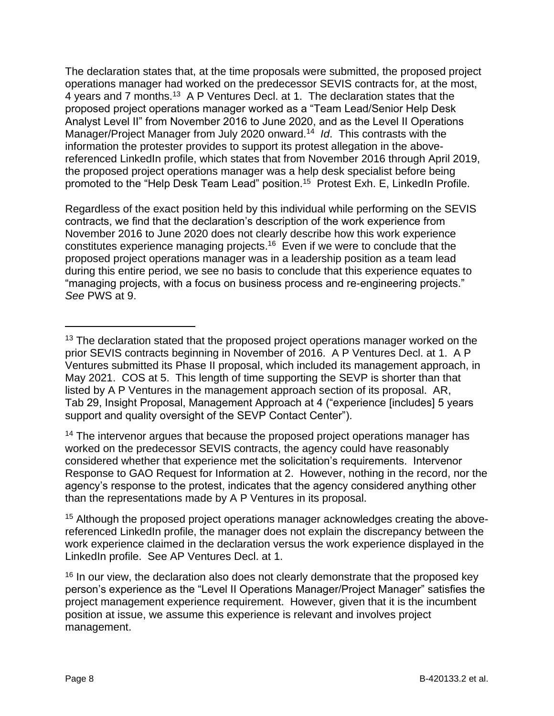The declaration states that, at the time proposals were submitted, the proposed project operations manager had worked on the predecessor SEVIS contracts for, at the most, 4 years and 7 months.<sup>13</sup> A P Ventures Decl. at 1. The declaration states that the proposed project operations manager worked as a "Team Lead/Senior Help Desk Analyst Level II" from November 2016 to June 2020, and as the Level II Operations Manager/Project Manager from July 2020 onward.<sup>14</sup> *Id*. This contrasts with the information the protester provides to support its protest allegation in the abovereferenced LinkedIn profile, which states that from November 2016 through April 2019, the proposed project operations manager was a help desk specialist before being promoted to the "Help Desk Team Lead" position.<sup>15</sup> Protest Exh. E, LinkedIn Profile.

Regardless of the exact position held by this individual while performing on the SEVIS contracts, we find that the declaration's description of the work experience from November 2016 to June 2020 does not clearly describe how this work experience constitutes experience managing projects.<sup>16</sup> Even if we were to conclude that the proposed project operations manager was in a leadership position as a team lead during this entire period, we see no basis to conclude that this experience equates to "managing projects, with a focus on business process and re-engineering projects." *See* PWS at 9.

<sup>14</sup> The intervenor argues that because the proposed project operations manager has worked on the predecessor SEVIS contracts, the agency could have reasonably considered whether that experience met the solicitation's requirements. Intervenor Response to GAO Request for Information at 2. However, nothing in the record, nor the agency's response to the protest, indicates that the agency considered anything other than the representations made by A P Ventures in its proposal.

<sup>&</sup>lt;sup>13</sup> The declaration stated that the proposed project operations manager worked on the prior SEVIS contracts beginning in November of 2016. A P Ventures Decl. at 1. A P Ventures submitted its Phase II proposal, which included its management approach, in May 2021. COS at 5. This length of time supporting the SEVP is shorter than that listed by A P Ventures in the management approach section of its proposal. AR, Tab 29, Insight Proposal, Management Approach at 4 ("experience [includes] 5 years support and quality oversight of the SEVP Contact Center").

<sup>&</sup>lt;sup>15</sup> Although the proposed project operations manager acknowledges creating the abovereferenced LinkedIn profile, the manager does not explain the discrepancy between the work experience claimed in the declaration versus the work experience displayed in the LinkedIn profile. See AP Ventures Decl. at 1.

 $16$  In our view, the declaration also does not clearly demonstrate that the proposed key person's experience as the "Level II Operations Manager/Project Manager" satisfies the project management experience requirement. However, given that it is the incumbent position at issue, we assume this experience is relevant and involves project management.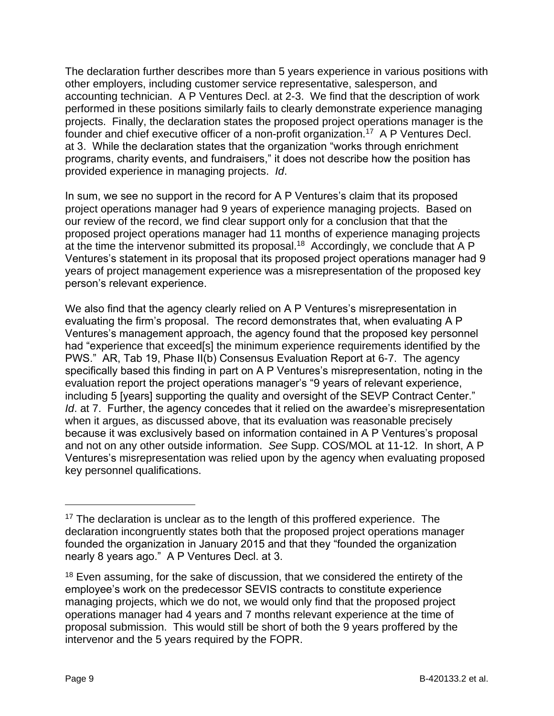The declaration further describes more than 5 years experience in various positions with other employers, including customer service representative, salesperson, and accounting technician. A P Ventures Decl. at 2-3. We find that the description of work performed in these positions similarly fails to clearly demonstrate experience managing projects. Finally, the declaration states the proposed project operations manager is the founder and chief executive officer of a non-profit organization.<sup>17</sup> A P Ventures Decl. at 3. While the declaration states that the organization "works through enrichment programs, charity events, and fundraisers," it does not describe how the position has provided experience in managing projects. *Id*.

In sum, we see no support in the record for A P Ventures's claim that its proposed project operations manager had 9 years of experience managing projects. Based on our review of the record, we find clear support only for a conclusion that that the proposed project operations manager had 11 months of experience managing projects at the time the intervenor submitted its proposal.<sup>18</sup> Accordingly, we conclude that A P Ventures's statement in its proposal that its proposed project operations manager had 9 years of project management experience was a misrepresentation of the proposed key person's relevant experience.

We also find that the agency clearly relied on A P Ventures's misrepresentation in evaluating the firm's proposal. The record demonstrates that, when evaluating A P Ventures's management approach, the agency found that the proposed key personnel had "experience that exceed[s] the minimum experience requirements identified by the PWS." AR, Tab 19, Phase II(b) Consensus Evaluation Report at 6-7. The agency specifically based this finding in part on A P Ventures's misrepresentation, noting in the evaluation report the project operations manager's "9 years of relevant experience, including 5 [years] supporting the quality and oversight of the SEVP Contract Center." *Id.* at 7. Further, the agency concedes that it relied on the awardee's misrepresentation when it argues, as discussed above, that its evaluation was reasonable precisely because it was exclusively based on information contained in A P Ventures's proposal and not on any other outside information. *See* Supp. COS/MOL at 11-12. In short, A P Ventures's misrepresentation was relied upon by the agency when evaluating proposed key personnel qualifications.

<sup>&</sup>lt;sup>17</sup> The declaration is unclear as to the length of this proffered experience. The declaration incongruently states both that the proposed project operations manager founded the organization in January 2015 and that they "founded the organization nearly 8 years ago." A P Ventures Decl. at 3.

<sup>&</sup>lt;sup>18</sup> Even assuming, for the sake of discussion, that we considered the entirety of the employee's work on the predecessor SEVIS contracts to constitute experience managing projects, which we do not, we would only find that the proposed project operations manager had 4 years and 7 months relevant experience at the time of proposal submission. This would still be short of both the 9 years proffered by the intervenor and the 5 years required by the FOPR.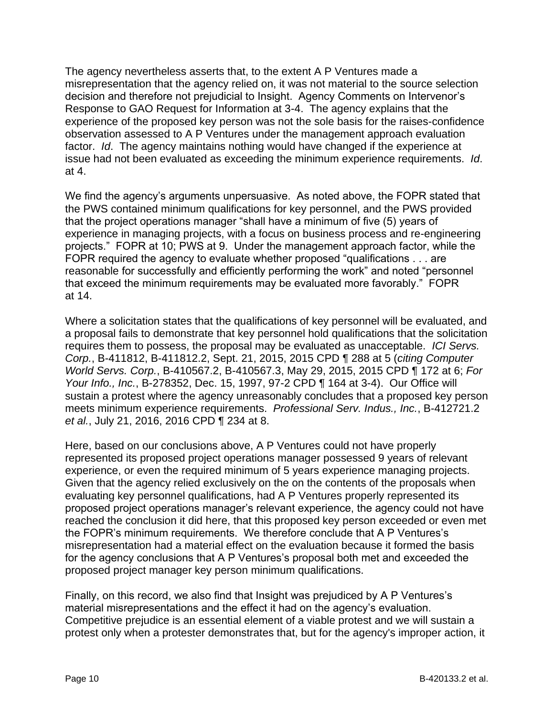The agency nevertheless asserts that, to the extent A P Ventures made a misrepresentation that the agency relied on, it was not material to the source selection decision and therefore not prejudicial to Insight. Agency Comments on Intervenor's Response to GAO Request for Information at 3-4. The agency explains that the experience of the proposed key person was not the sole basis for the raises-confidence observation assessed to A P Ventures under the management approach evaluation factor. *Id*. The agency maintains nothing would have changed if the experience at issue had not been evaluated as exceeding the minimum experience requirements. *Id*. at 4.

We find the agency's arguments unpersuasive. As noted above, the FOPR stated that the PWS contained minimum qualifications for key personnel, and the PWS provided that the project operations manager "shall have a minimum of five (5) years of experience in managing projects, with a focus on business process and re-engineering projects." FOPR at 10; PWS at 9. Under the management approach factor, while the FOPR required the agency to evaluate whether proposed "qualifications . . . are reasonable for successfully and efficiently performing the work" and noted "personnel that exceed the minimum requirements may be evaluated more favorably." FOPR at 14.

Where a solicitation states that the qualifications of key personnel will be evaluated, and a proposal fails to demonstrate that key personnel hold qualifications that the solicitation requires them to possess, the proposal may be evaluated as unacceptable. *ICI Servs. Corp.*, B-411812, B-411812.2, Sept. 21, 2015, 2015 CPD ¶ 288 at 5 (*citing Computer World Servs. Corp.*, B-410567.2, B-410567.3, May 29, 2015, 2015 CPD ¶ 172 at 6; *For Your Info., Inc.*, B-278352, Dec. 15, 1997, 97-2 CPD ¶ 164 at 3-4). Our Office will sustain a protest where the agency unreasonably concludes that a proposed key person meets minimum experience requirements. *Professional Serv. Indus., Inc.*, B-412721.2 *et al.*, July 21, 2016, 2016 CPD ¶ 234 at 8.

Here, based on our conclusions above, A P Ventures could not have properly represented its proposed project operations manager possessed 9 years of relevant experience, or even the required minimum of 5 years experience managing projects. Given that the agency relied exclusively on the on the contents of the proposals when evaluating key personnel qualifications, had A P Ventures properly represented its proposed project operations manager's relevant experience, the agency could not have reached the conclusion it did here, that this proposed key person exceeded or even met the FOPR's minimum requirements. We therefore conclude that A P Ventures's misrepresentation had a material effect on the evaluation because it formed the basis for the agency conclusions that A P Ventures's proposal both met and exceeded the proposed project manager key person minimum qualifications.

Finally, on this record, we also find that Insight was prejudiced by A P Ventures's material misrepresentations and the effect it had on the agency's evaluation. Competitive prejudice is an essential element of a viable protest and we will sustain a protest only when a protester demonstrates that, but for the agency's improper action, it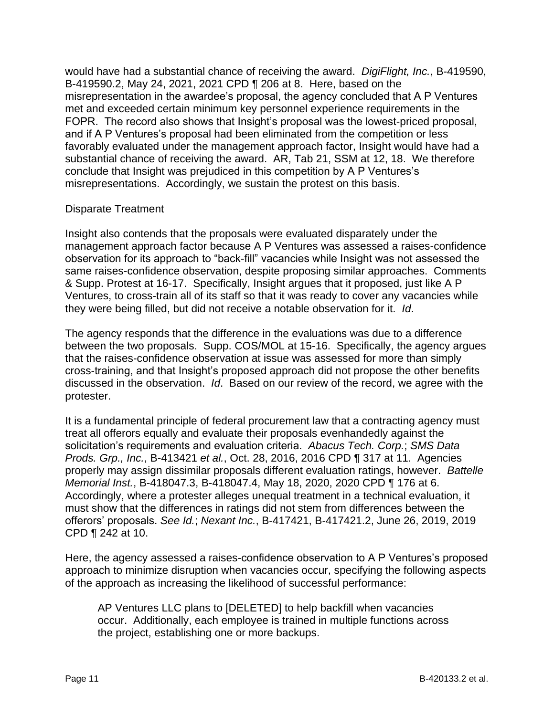would have had a substantial chance of receiving the award. *DigiFlight, Inc.*, B-419590, B-419590.2, May 24, 2021, 2021 CPD ¶ 206 at 8. Here, based on the misrepresentation in the awardee's proposal, the agency concluded that A P Ventures met and exceeded certain minimum key personnel experience requirements in the FOPR. The record also shows that Insight's proposal was the lowest-priced proposal, and if A P Ventures's proposal had been eliminated from the competition or less favorably evaluated under the management approach factor, Insight would have had a substantial chance of receiving the award. AR, Tab 21, SSM at 12, 18. We therefore conclude that Insight was prejudiced in this competition by A P Ventures's misrepresentations. Accordingly, we sustain the protest on this basis.

#### Disparate Treatment

Insight also contends that the proposals were evaluated disparately under the management approach factor because A P Ventures was assessed a raises-confidence observation for its approach to "back-fill" vacancies while Insight was not assessed the same raises-confidence observation, despite proposing similar approaches. Comments & Supp. Protest at 16-17. Specifically, Insight argues that it proposed, just like A P Ventures, to cross-train all of its staff so that it was ready to cover any vacancies while they were being filled, but did not receive a notable observation for it. *Id*.

The agency responds that the difference in the evaluations was due to a difference between the two proposals. Supp. COS/MOL at 15-16. Specifically, the agency argues that the raises-confidence observation at issue was assessed for more than simply cross-training, and that Insight's proposed approach did not propose the other benefits discussed in the observation. *Id*. Based on our review of the record, we agree with the protester.

It is a fundamental principle of federal procurement law that a contracting agency must treat all offerors equally and evaluate their proposals evenhandedly against the solicitation's requirements and evaluation criteria. *Abacus Tech. Corp.*; *SMS Data Prods. Grp., Inc.*, B-413421 *et al.*, Oct. 28, 2016, 2016 CPD ¶ 317 at 11. Agencies properly may assign dissimilar proposals different evaluation ratings, however. *Battelle Memorial Inst.*, B-418047.3, B-418047.4, May 18, 2020, 2020 CPD ¶ 176 at 6. Accordingly, where a protester alleges unequal treatment in a technical evaluation, it must show that the differences in ratings did not stem from differences between the offerors' proposals. *See Id.*; *Nexant Inc.*, B-417421, B-417421.2, June 26, 2019, 2019 CPD ¶ 242 at 10.

Here, the agency assessed a raises-confidence observation to A P Ventures's proposed approach to minimize disruption when vacancies occur, specifying the following aspects of the approach as increasing the likelihood of successful performance:

AP Ventures LLC plans to [DELETED] to help backfill when vacancies occur. Additionally, each employee is trained in multiple functions across the project, establishing one or more backups.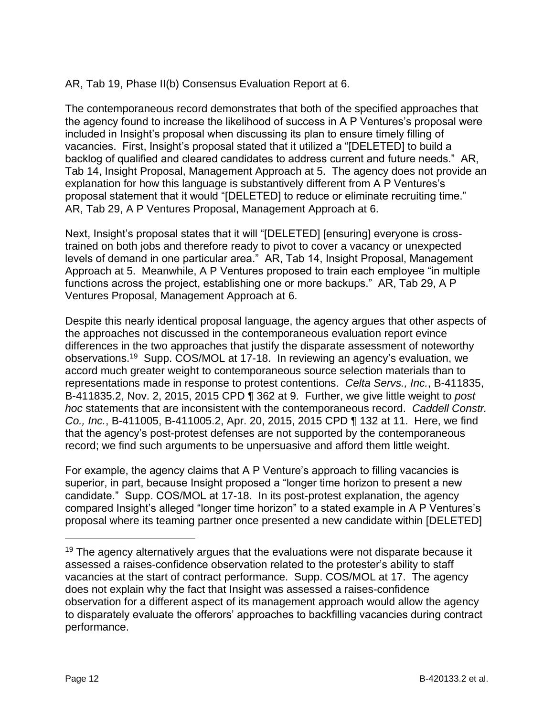AR, Tab 19, Phase II(b) Consensus Evaluation Report at 6.

The contemporaneous record demonstrates that both of the specified approaches that the agency found to increase the likelihood of success in A P Ventures's proposal were included in Insight's proposal when discussing its plan to ensure timely filling of vacancies. First, Insight's proposal stated that it utilized a "[DELETED] to build a backlog of qualified and cleared candidates to address current and future needs." AR, Tab 14, Insight Proposal, Management Approach at 5. The agency does not provide an explanation for how this language is substantively different from A P Ventures's proposal statement that it would "[DELETED] to reduce or eliminate recruiting time." AR, Tab 29, A P Ventures Proposal, Management Approach at 6.

Next, Insight's proposal states that it will "[DELETED] [ensuring] everyone is crosstrained on both jobs and therefore ready to pivot to cover a vacancy or unexpected levels of demand in one particular area." AR, Tab 14, Insight Proposal, Management Approach at 5. Meanwhile, A P Ventures proposed to train each employee "in multiple functions across the project, establishing one or more backups." AR, Tab 29, A P Ventures Proposal, Management Approach at 6.

Despite this nearly identical proposal language, the agency argues that other aspects of the approaches not discussed in the contemporaneous evaluation report evince differences in the two approaches that justify the disparate assessment of noteworthy observations.<sup>19</sup> Supp. COS/MOL at 17-18. In reviewing an agency's evaluation, we accord much greater weight to contemporaneous source selection materials than to representations made in response to protest contentions. *Celta Servs., Inc.*, B-411835, B-411835.2, Nov. 2, 2015, 2015 CPD ¶ 362 at 9. Further, we give little weight to *post hoc* statements that are inconsistent with the contemporaneous record. *Caddell Constr. Co., Inc.*, B-411005, B-411005.2, Apr. 20, 2015, 2015 CPD ¶ 132 at 11. Here, we find that the agency's post-protest defenses are not supported by the contemporaneous record; we find such arguments to be unpersuasive and afford them little weight.

For example, the agency claims that A P Venture's approach to filling vacancies is superior, in part, because Insight proposed a "longer time horizon to present a new candidate." Supp. COS/MOL at 17-18. In its post-protest explanation, the agency compared Insight's alleged "longer time horizon" to a stated example in A P Ventures's proposal where its teaming partner once presented a new candidate within [DELETED]

 $19$  The agency alternatively argues that the evaluations were not disparate because it assessed a raises-confidence observation related to the protester's ability to staff vacancies at the start of contract performance. Supp. COS/MOL at 17. The agency does not explain why the fact that Insight was assessed a raises-confidence observation for a different aspect of its management approach would allow the agency to disparately evaluate the offerors' approaches to backfilling vacancies during contract performance.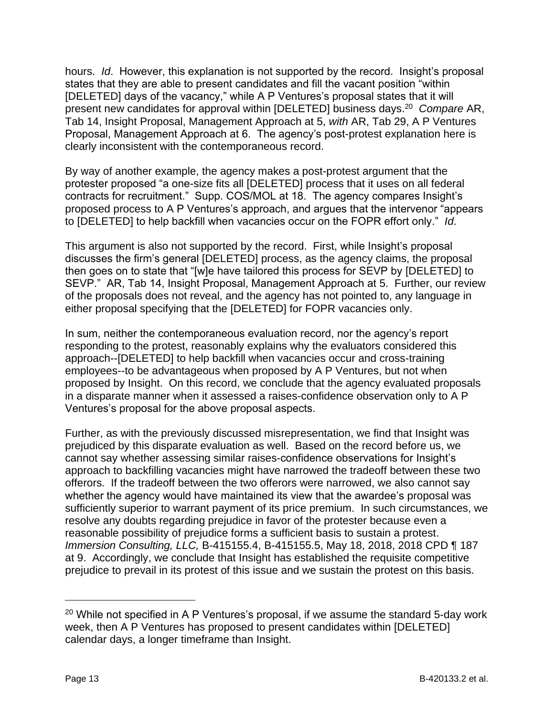hours. *Id*. However, this explanation is not supported by the record. Insight's proposal states that they are able to present candidates and fill the vacant position "within [DELETED] days of the vacancy," while A P Ventures's proposal states that it will present new candidates for approval within [DELETED] business days.<sup>20</sup> Compare AR, Tab 14, Insight Proposal, Management Approach at 5, *with* AR, Tab 29, A P Ventures Proposal, Management Approach at 6. The agency's post-protest explanation here is clearly inconsistent with the contemporaneous record.

By way of another example, the agency makes a post-protest argument that the protester proposed "a one-size fits all [DELETED] process that it uses on all federal contracts for recruitment." Supp. COS/MOL at 18. The agency compares Insight's proposed process to A P Ventures's approach, and argues that the intervenor "appears to [DELETED] to help backfill when vacancies occur on the FOPR effort only." *Id*.

This argument is also not supported by the record. First, while Insight's proposal discusses the firm's general [DELETED] process, as the agency claims, the proposal then goes on to state that "[w]e have tailored this process for SEVP by [DELETED] to SEVP." AR, Tab 14, Insight Proposal, Management Approach at 5. Further, our review of the proposals does not reveal, and the agency has not pointed to, any language in either proposal specifying that the [DELETED] for FOPR vacancies only.

In sum, neither the contemporaneous evaluation record, nor the agency's report responding to the protest, reasonably explains why the evaluators considered this approach--[DELETED] to help backfill when vacancies occur and cross-training employees--to be advantageous when proposed by A P Ventures, but not when proposed by Insight. On this record, we conclude that the agency evaluated proposals in a disparate manner when it assessed a raises-confidence observation only to A P Ventures's proposal for the above proposal aspects.

Further, as with the previously discussed misrepresentation, we find that Insight was prejudiced by this disparate evaluation as well. Based on the record before us, we cannot say whether assessing similar raises-confidence observations for Insight's approach to backfilling vacancies might have narrowed the tradeoff between these two offerors. If the tradeoff between the two offerors were narrowed, we also cannot say whether the agency would have maintained its view that the awardee's proposal was sufficiently superior to warrant payment of its price premium. In such circumstances, we resolve any doubts regarding prejudice in favor of the protester because even a reasonable possibility of prejudice forms a sufficient basis to sustain a protest. *Immersion Consulting, LLC,* B-415155.4, B-415155.5, May 18, 2018, 2018 CPD ¶ 187 at 9. Accordingly, we conclude that Insight has established the requisite competitive prejudice to prevail in its protest of this issue and we sustain the protest on this basis.

 $20$  While not specified in A P Ventures's proposal, if we assume the standard 5-day work week, then A P Ventures has proposed to present candidates within [DELETED] calendar days, a longer timeframe than Insight.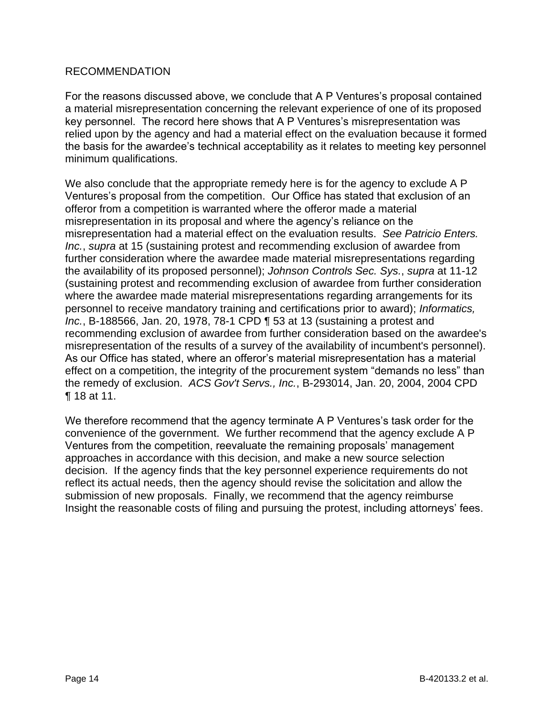#### RECOMMENDATION

For the reasons discussed above, we conclude that A P Ventures's proposal contained a material misrepresentation concerning the relevant experience of one of its proposed key personnel. The record here shows that A P Ventures's misrepresentation was relied upon by the agency and had a material effect on the evaluation because it formed the basis for the awardee's technical acceptability as it relates to meeting key personnel minimum qualifications.

We also conclude that the appropriate remedy here is for the agency to exclude A P Ventures's proposal from the competition. Our Office has stated that exclusion of an offeror from a competition is warranted where the offeror made a material misrepresentation in its proposal and where the agency's reliance on the misrepresentation had a material effect on the evaluation results. *See Patricio Enters. Inc.*, *supra* at 15 (sustaining protest and recommending exclusion of awardee from further consideration where the awardee made material misrepresentations regarding the availability of its proposed personnel); *Johnson Controls Sec. Sys.*, *supra* at 11-12 (sustaining protest and recommending exclusion of awardee from further consideration where the awardee made material misrepresentations regarding arrangements for its personnel to receive mandatory training and certifications prior to award); *Informatics, Inc.*, B-188566, Jan. 20, 1978, 78-1 CPD ¶ 53 at 13 (sustaining a protest and recommending exclusion of awardee from further consideration based on the awardee's misrepresentation of the results of a survey of the availability of incumbent's personnel). As our Office has stated, where an offeror's material misrepresentation has a material effect on a competition, the integrity of the procurement system "demands no less" than the remedy of exclusion. *ACS Gov't Servs., Inc.*, B-293014, Jan. 20, 2004, 2004 CPD ¶ 18 at 11.

We therefore recommend that the agency terminate A P Ventures's task order for the convenience of the government. We further recommend that the agency exclude A P Ventures from the competition, reevaluate the remaining proposals' management approaches in accordance with this decision, and make a new source selection decision. If the agency finds that the key personnel experience requirements do not reflect its actual needs, then the agency should revise the solicitation and allow the submission of new proposals. Finally, we recommend that the agency reimburse Insight the reasonable costs of filing and pursuing the protest, including attorneys' fees.